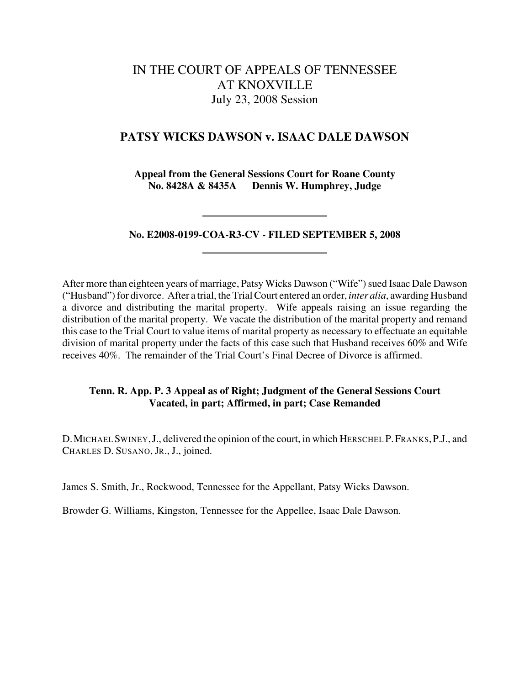# IN THE COURT OF APPEALS OF TENNESSEE AT KNOXVILLE July 23, 2008 Session

## **PATSY WICKS DAWSON v. ISAAC DALE DAWSON**

**Appeal from the General Sessions Court for Roane County No. 8428A & 8435A Dennis W. Humphrey, Judge**

**No. E2008-0199-COA-R3-CV - FILED SEPTEMBER 5, 2008**

After more than eighteen years of marriage, Patsy Wicks Dawson ("Wife") sued Isaac Dale Dawson ("Husband") for divorce. After a trial, the Trial Court entered an order, *inter alia*, awarding Husband a divorce and distributing the marital property. Wife appeals raising an issue regarding the distribution of the marital property. We vacate the distribution of the marital property and remand this case to the Trial Court to value items of marital property as necessary to effectuate an equitable division of marital property under the facts of this case such that Husband receives 60% and Wife receives 40%. The remainder of the Trial Court's Final Decree of Divorce is affirmed.

### **Tenn. R. App. P. 3 Appeal as of Right; Judgment of the General Sessions Court Vacated, in part; Affirmed, in part; Case Remanded**

D.MICHAEL SWINEY,J., delivered the opinion of the court, in which HERSCHEL P.FRANKS,P.J., and CHARLES D. SUSANO, JR., J., joined.

James S. Smith, Jr., Rockwood, Tennessee for the Appellant, Patsy Wicks Dawson.

Browder G. Williams, Kingston, Tennessee for the Appellee, Isaac Dale Dawson.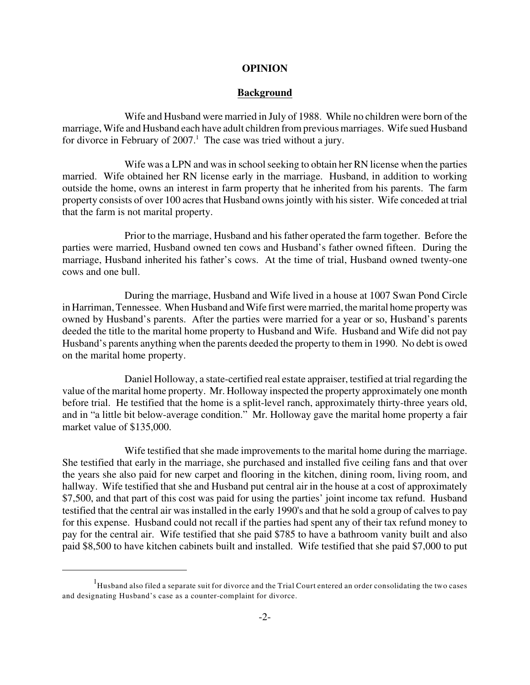#### **OPINION**

#### **Background**

Wife and Husband were married in July of 1988. While no children were born of the marriage, Wife and Husband each have adult children from previous marriages. Wife sued Husband for divorce in February of  $2007<sup>1</sup>$ . The case was tried without a jury.

Wife was a LPN and was in school seeking to obtain her RN license when the parties married. Wife obtained her RN license early in the marriage. Husband, in addition to working outside the home, owns an interest in farm property that he inherited from his parents. The farm property consists of over 100 acres that Husband owns jointly with his sister. Wife conceded at trial that the farm is not marital property.

Prior to the marriage, Husband and his father operated the farm together. Before the parties were married, Husband owned ten cows and Husband's father owned fifteen. During the marriage, Husband inherited his father's cows. At the time of trial, Husband owned twenty-one cows and one bull.

During the marriage, Husband and Wife lived in a house at 1007 Swan Pond Circle in Harriman, Tennessee. When Husband and Wife first were married, the marital home property was owned by Husband's parents. After the parties were married for a year or so, Husband's parents deeded the title to the marital home property to Husband and Wife. Husband and Wife did not pay Husband's parents anything when the parents deeded the property to them in 1990. No debt is owed on the marital home property.

Daniel Holloway, a state-certified real estate appraiser, testified at trial regarding the value of the marital home property. Mr. Holloway inspected the property approximately one month before trial. He testified that the home is a split-level ranch, approximately thirty-three years old, and in "a little bit below-average condition." Mr. Holloway gave the marital home property a fair market value of \$135,000.

Wife testified that she made improvements to the marital home during the marriage. She testified that early in the marriage, she purchased and installed five ceiling fans and that over the years she also paid for new carpet and flooring in the kitchen, dining room, living room, and hallway. Wife testified that she and Husband put central air in the house at a cost of approximately \$7,500, and that part of this cost was paid for using the parties' joint income tax refund. Husband testified that the central air was installed in the early 1990's and that he sold a group of calves to pay for this expense. Husband could not recall if the parties had spent any of their tax refund money to pay for the central air. Wife testified that she paid \$785 to have a bathroom vanity built and also paid \$8,500 to have kitchen cabinets built and installed. Wife testified that she paid \$7,000 to put

 $1$ Husband also filed a separate suit for divorce and the Trial Court entered an order consolidating the two cases and designating Husband's case as a counter-complaint for divorce.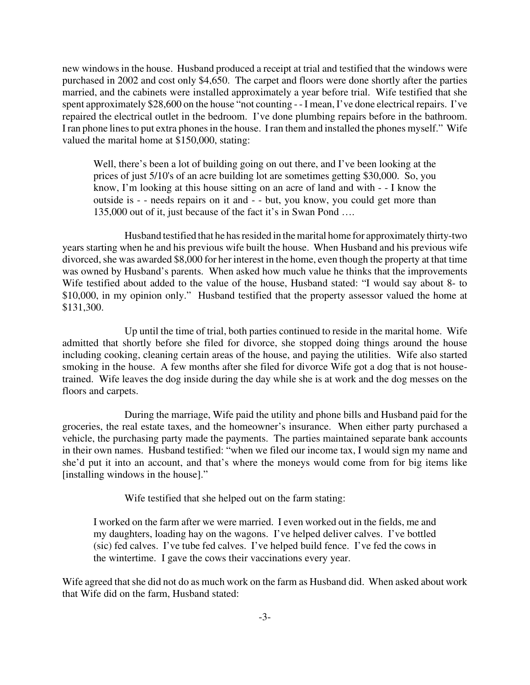new windows in the house. Husband produced a receipt at trial and testified that the windows were purchased in 2002 and cost only \$4,650. The carpet and floors were done shortly after the parties married, and the cabinets were installed approximately a year before trial. Wife testified that she spent approximately \$28,600 on the house "not counting - - I mean, I've done electrical repairs. I've repaired the electrical outlet in the bedroom. I've done plumbing repairs before in the bathroom. I ran phone lines to put extra phones in the house. I ran them and installed the phones myself." Wife valued the marital home at \$150,000, stating:

Well, there's been a lot of building going on out there, and I've been looking at the prices of just 5/10's of an acre building lot are sometimes getting \$30,000. So, you know, I'm looking at this house sitting on an acre of land and with - - I know the outside is - - needs repairs on it and - - but, you know, you could get more than 135,000 out of it, just because of the fact it's in Swan Pond ….

Husband testified that he has resided in the marital home for approximately thirty-two years starting when he and his previous wife built the house. When Husband and his previous wife divorced, she was awarded \$8,000 for her interest in the home, even though the property at that time was owned by Husband's parents. When asked how much value he thinks that the improvements Wife testified about added to the value of the house, Husband stated: "I would say about 8- to \$10,000, in my opinion only." Husband testified that the property assessor valued the home at \$131,300.

Up until the time of trial, both parties continued to reside in the marital home. Wife admitted that shortly before she filed for divorce, she stopped doing things around the house including cooking, cleaning certain areas of the house, and paying the utilities. Wife also started smoking in the house. A few months after she filed for divorce Wife got a dog that is not housetrained. Wife leaves the dog inside during the day while she is at work and the dog messes on the floors and carpets.

During the marriage, Wife paid the utility and phone bills and Husband paid for the groceries, the real estate taxes, and the homeowner's insurance. When either party purchased a vehicle, the purchasing party made the payments. The parties maintained separate bank accounts in their own names. Husband testified: "when we filed our income tax, I would sign my name and she'd put it into an account, and that's where the moneys would come from for big items like [installing windows in the house]."

Wife testified that she helped out on the farm stating:

I worked on the farm after we were married. I even worked out in the fields, me and my daughters, loading hay on the wagons. I've helped deliver calves. I've bottled (sic) fed calves. I've tube fed calves. I've helped build fence. I've fed the cows in the wintertime. I gave the cows their vaccinations every year.

Wife agreed that she did not do as much work on the farm as Husband did. When asked about work that Wife did on the farm, Husband stated: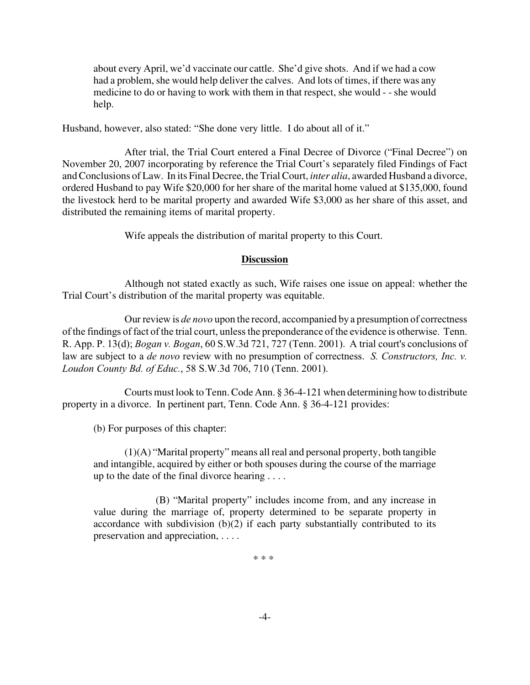about every April, we'd vaccinate our cattle. She'd give shots. And if we had a cow had a problem, she would help deliver the calves. And lots of times, if there was any medicine to do or having to work with them in that respect, she would - - she would help.

Husband, however, also stated: "She done very little. I do about all of it."

After trial, the Trial Court entered a Final Decree of Divorce ("Final Decree") on November 20, 2007 incorporating by reference the Trial Court's separately filed Findings of Fact and Conclusions of Law. In its Final Decree, the Trial Court, *inter alia*, awarded Husband a divorce, ordered Husband to pay Wife \$20,000 for her share of the marital home valued at \$135,000, found the livestock herd to be marital property and awarded Wife \$3,000 as her share of this asset, and distributed the remaining items of marital property.

Wife appeals the distribution of marital property to this Court.

### **Discussion**

Although not stated exactly as such, Wife raises one issue on appeal: whether the Trial Court's distribution of the marital property was equitable.

Our review is *de novo* upon the record, accompanied by a presumption of correctness of the findings of fact of the trial court, unless the preponderance of the evidence is otherwise. Tenn. R. App. P. 13(d); *Bogan v. Bogan*, 60 S.W.3d 721, 727 (Tenn. 2001). A trial court's conclusions of law are subject to a *de novo* review with no presumption of correctness. *S. Constructors, Inc. v. Loudon County Bd. of Educ.*, 58 S.W.3d 706, 710 (Tenn. 2001).

Courts must look to Tenn.Code Ann. § 36-4-121 when determining how to distribute property in a divorce. In pertinent part, Tenn. Code Ann. § 36-4-121 provides:

(b) For purposes of this chapter:

(1)(A) "Marital property" means all real and personal property, both tangible and intangible, acquired by either or both spouses during the course of the marriage up to the date of the final divorce hearing . . . .

(B) "Marital property" includes income from, and any increase in value during the marriage of, property determined to be separate property in accordance with subdivision (b)(2) if each party substantially contributed to its preservation and appreciation, . . . .

\* \* \*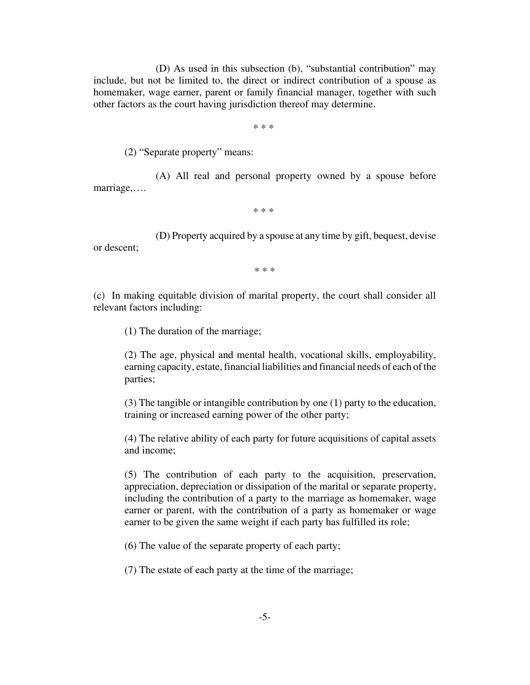(D) As used in this subsection (b), "substantial contribution" may include, but not be limited to, the direct or indirect contribution of a spouse as homemaker, wage earner, parent or family financial manager, together with such other factors as the court having jurisdiction thereof may determine.

\* \* \*

(2) "Separate property" means:

(A) All real and personal property owned by a spouse before marriage,….

\* \* \*

(D) Property acquired by a spouse at any time by gift, bequest, devise or descent;

\* \* \*

(c) In making equitable division of marital property, the court shall consider all relevant factors including:

(1) The duration of the marriage;

(2) The age, physical and mental health, vocational skills, employability, earning capacity, estate, financial liabilities and financial needs of each of the parties;

(3) The tangible or intangible contribution by one (1) party to the education, training or increased earning power of the other party;

(4) The relative ability of each party for future acquisitions of capital assets and income;

(5) The contribution of each party to the acquisition, preservation, appreciation, depreciation or dissipation of the marital or separate property, including the contribution of a party to the marriage as homemaker, wage earner or parent, with the contribution of a party as homemaker or wage earner to be given the same weight if each party has fulfilled its role;

(6) The value of the separate property of each party;

(7) The estate of each party at the time of the marriage;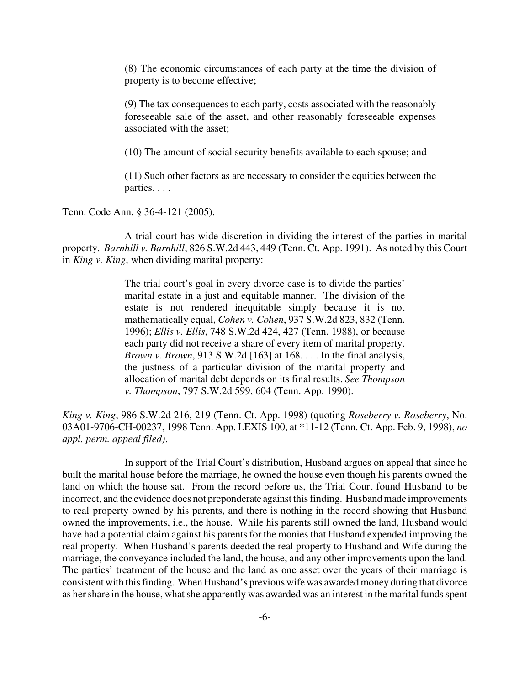(8) The economic circumstances of each party at the time the division of property is to become effective;

(9) The tax consequences to each party, costs associated with the reasonably foreseeable sale of the asset, and other reasonably foreseeable expenses associated with the asset;

(10) The amount of social security benefits available to each spouse; and

(11) Such other factors as are necessary to consider the equities between the parties. . . .

Tenn. Code Ann. § 36-4-121 (2005).

A trial court has wide discretion in dividing the interest of the parties in marital property. *Barnhill v. Barnhill*, 826 S.W.2d 443, 449 (Tenn. Ct. App. 1991). As noted by this Court in *King v. King*, when dividing marital property:

> The trial court's goal in every divorce case is to divide the parties' marital estate in a just and equitable manner. The division of the estate is not rendered inequitable simply because it is not mathematically equal, *Cohen v. Cohen*, 937 S.W.2d 823, 832 (Tenn. 1996); *Ellis v. Ellis*, 748 S.W.2d 424, 427 (Tenn. 1988), or because each party did not receive a share of every item of marital property. *Brown v. Brown*, 913 S.W.2d [163] at 168. . . . In the final analysis, the justness of a particular division of the marital property and allocation of marital debt depends on its final results. *See Thompson v. Thompson*, 797 S.W.2d 599, 604 (Tenn. App. 1990).

*King v. King*, 986 S.W.2d 216, 219 (Tenn. Ct. App. 1998) (quoting *Roseberry v. Roseberry*, No. 03A01-9706-CH-00237, 1998 Tenn. App. LEXIS 100, at \*11-12 (Tenn. Ct. App. Feb. 9, 1998), *no appl. perm. appeal filed)*.

In support of the Trial Court's distribution, Husband argues on appeal that since he built the marital house before the marriage, he owned the house even though his parents owned the land on which the house sat. From the record before us, the Trial Court found Husband to be incorrect, and the evidence does not preponderate against this finding. Husband made improvements to real property owned by his parents, and there is nothing in the record showing that Husband owned the improvements, i.e., the house. While his parents still owned the land, Husband would have had a potential claim against his parents for the monies that Husband expended improving the real property. When Husband's parents deeded the real property to Husband and Wife during the marriage, the conveyance included the land, the house, and any other improvements upon the land. The parties' treatment of the house and the land as one asset over the years of their marriage is consistent with this finding. When Husband's previous wife was awarded money during that divorce as her share in the house, what she apparently was awarded was an interest in the marital funds spent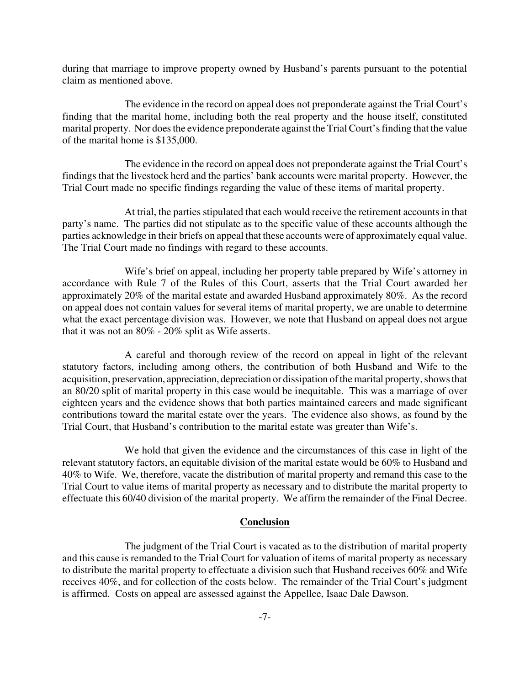during that marriage to improve property owned by Husband's parents pursuant to the potential claim as mentioned above.

The evidence in the record on appeal does not preponderate against the Trial Court's finding that the marital home, including both the real property and the house itself, constituted marital property. Nor does the evidence preponderate against the Trial Court's finding that the value of the marital home is \$135,000.

The evidence in the record on appeal does not preponderate against the Trial Court's findings that the livestock herd and the parties' bank accounts were marital property. However, the Trial Court made no specific findings regarding the value of these items of marital property.

At trial, the parties stipulated that each would receive the retirement accounts in that party's name. The parties did not stipulate as to the specific value of these accounts although the parties acknowledge in their briefs on appeal that these accounts were of approximately equal value. The Trial Court made no findings with regard to these accounts.

Wife's brief on appeal, including her property table prepared by Wife's attorney in accordance with Rule 7 of the Rules of this Court, asserts that the Trial Court awarded her approximately 20% of the marital estate and awarded Husband approximately 80%. As the record on appeal does not contain values for several items of marital property, we are unable to determine what the exact percentage division was. However, we note that Husband on appeal does not argue that it was not an 80% - 20% split as Wife asserts.

A careful and thorough review of the record on appeal in light of the relevant statutory factors, including among others, the contribution of both Husband and Wife to the acquisition, preservation, appreciation, depreciation or dissipation of the marital property, shows that an 80/20 split of marital property in this case would be inequitable. This was a marriage of over eighteen years and the evidence shows that both parties maintained careers and made significant contributions toward the marital estate over the years. The evidence also shows, as found by the Trial Court, that Husband's contribution to the marital estate was greater than Wife's.

We hold that given the evidence and the circumstances of this case in light of the relevant statutory factors, an equitable division of the marital estate would be 60% to Husband and 40% to Wife. We, therefore, vacate the distribution of marital property and remand this case to the Trial Court to value items of marital property as necessary and to distribute the marital property to effectuate this 60/40 division of the marital property. We affirm the remainder of the Final Decree.

#### **Conclusion**

The judgment of the Trial Court is vacated as to the distribution of marital property and this cause is remanded to the Trial Court for valuation of items of marital property as necessary to distribute the marital property to effectuate a division such that Husband receives 60% and Wife receives 40%, and for collection of the costs below. The remainder of the Trial Court's judgment is affirmed. Costs on appeal are assessed against the Appellee, Isaac Dale Dawson.